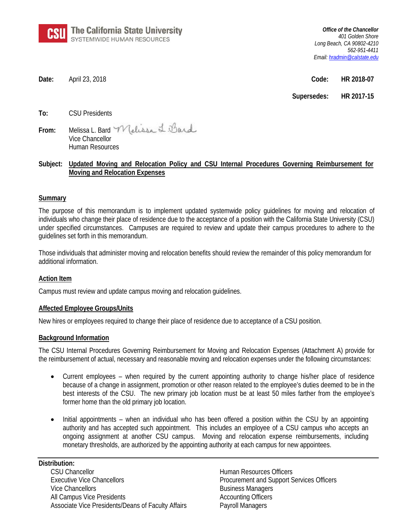

*Office of the Chancellor 401 Golden Shore Long Beach, CA 90802-4210 562-951-4411 Email[: hradmin@calstate.edu](mailto:hradmin@calstate.edu)*

**Date:** April 23, 2018 **Code: HR 2018-07**

**Supersedes: HR 2017-15**

**To:** CSU Presidents

**From:** Melissa L. Bard Vice Chancellor Human Resources

# **Subject: Updated Moving and Relocation Policy and CSU Internal Procedures Governing Reimbursement for Moving and Relocation Expenses**

# **Summary**

The purpose of this memorandum is to implement updated systemwide policy guidelines for moving and relocation of individuals who change their place of residence due to the acceptance of a position with the California State University (CSU) under specified circumstances. Campuses are required to review and update their campus procedures to adhere to the guidelines set forth in this memorandum.

Those individuals that administer moving and relocation benefits should review the remainder of this policy memorandum for additional information.

# **Action Item**

Campus must review and update campus moving and relocation guidelines.

# **Affected Employee Groups/Units**

New hires or employees required to change their place of residence due to acceptance of a CSU position.

# **Background Information**

The CSU Internal Procedures Governing Reimbursement for Moving and Relocation Expenses (Attachment A) provide for the reimbursement of actual, necessary and reasonable moving and relocation expenses under the following circumstances:

- Current employees when required by the current appointing authority to change his/her place of residence because of a change in assignment, promotion or other reason related to the employee's duties deemed to be in the best interests of the CSU. The new primary job location must be at least 50 miles farther from the employee's former home than the old primary job location.
- Initial appointments when an individual who has been offered a position within the CSU by an appointing authority and has accepted such appointment. This includes an employee of a CSU campus who accepts an ongoing assignment at another CSU campus. Moving and relocation expense reimbursements, including monetary thresholds, are authorized by the appointing authority at each campus for new appointees.

### **Distribution:**

CSU Chancellor Human Resources Officers Executive Vice Chancellors **Procurement and Support Services Officers** Vice Chancellors **Business Managers** Business Managers All Campus Vice Presidents Accounting Officers Associate Vice Presidents/Deans of Faculty Affairs Payroll Managers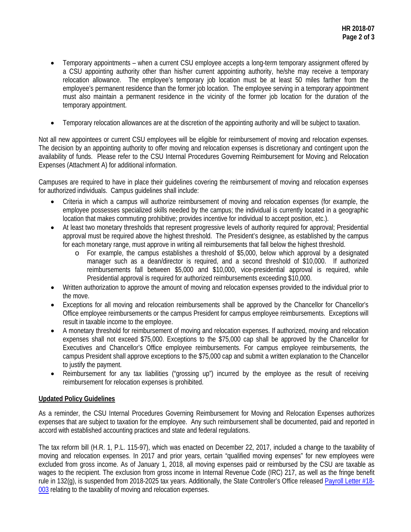- Temporary appointments when a current CSU employee accepts a long-term temporary assignment offered by a CSU appointing authority other than his/her current appointing authority, he/she may receive a temporary relocation allowance. The employee's temporary job location must be at least 50 miles farther from the employee's permanent residence than the former job location. The employee serving in a temporary appointment must also maintain a permanent residence in the vicinity of the former job location for the duration of the temporary appointment.
- Temporary relocation allowances are at the discretion of the appointing authority and will be subject to taxation.

Not all new appointees or current CSU employees will be eligible for reimbursement of moving and relocation expenses. The decision by an appointing authority to offer moving and relocation expenses is discretionary and contingent upon the availability of funds. Please refer to the CSU Internal Procedures Governing Reimbursement for Moving and Relocation Expenses (Attachment A) for additional information.

Campuses are required to have in place their guidelines covering the reimbursement of moving and relocation expenses for authorized individuals. Campus guidelines shall include:

- Criteria in which a campus will authorize reimbursement of moving and relocation expenses (for example, the employee possesses specialized skills needed by the campus; the individual is currently located in a geographic location that makes commuting prohibitive; provides incentive for individual to accept position, etc.).
- At least two monetary thresholds that represent progressive levels of authority required for approval; Presidential approval must be required above the highest threshold. The President's designee, as established by the campus for each monetary range, must approve in writing all reimbursements that fall below the highest threshold.
	- o For example, the campus establishes a threshold of \$5,000, below which approval by a designated manager such as a dean/director is required, and a second threshold of \$10,000. If authorized reimbursements fall between \$5,000 and \$10,000, vice-presidential approval is required, while Presidential approval is required for authorized reimbursements exceeding \$10,000.
- Written authorization to approve the amount of moving and relocation expenses provided to the individual prior to the move.
- Exceptions for all moving and relocation reimbursements shall be approved by the Chancellor for Chancellor's Office employee reimbursements or the campus President for campus employee reimbursements. Exceptions will result in taxable income to the employee.
- A monetary threshold for reimbursement of moving and relocation expenses. If authorized, moving and relocation expenses shall not exceed \$75,000. Exceptions to the \$75,000 cap shall be approved by the Chancellor for Executives and Chancellor's Office employee reimbursements. For campus employee reimbursements, the campus President shall approve exceptions to the \$75,000 cap and submit a written explanation to the Chancellor to justify the payment.
- Reimbursement for any tax liabilities ("grossing up") incurred by the employee as the result of receiving reimbursement for relocation expenses is prohibited.

# **Updated Policy Guidelines**

As a reminder, the CSU Internal Procedures Governing Reimbursement for Moving and Relocation Expenses authorizes expenses that are subject to taxation for the employee. Any such reimbursement shall be documented, paid and reported in accord with established accounting practices and state and federal regulations.

The tax reform bill (H.R. 1, P.L. 115-97), which was enacted on December 22, 2017, included a change to the taxability of moving and relocation expenses. In 2017 and prior years, certain "qualified moving expenses" for new employees were excluded from gross income. As of January 1, 2018, all moving expenses paid or reimbursed by the CSU are taxable as wages to the recipient. The exclusion from gross income in Internal Revenue Code (IRC) 217, as well as the fringe benefit rule in 132(g), is suspended from 2018-2025 tax years. Additionally, the State Controller's Office released [Payroll Letter](https://sco.ca.gov/Files-PPSD-Letters/2018_p18-003.pdf) #18- [003](https://sco.ca.gov/Files-PPSD-Letters/2018_p18-003.pdf) relating to the taxability of moving and relocation expenses.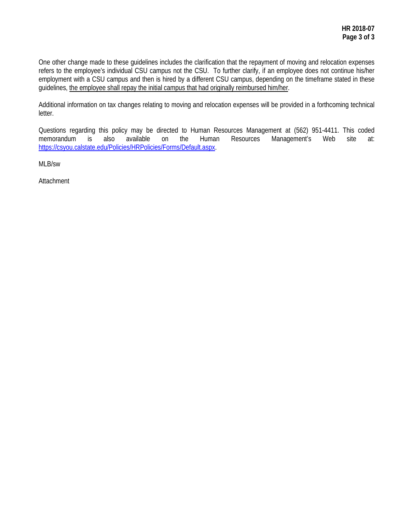One other change made to these guidelines includes the clarification that the repayment of moving and relocation expenses refers to the employee's individual CSU campus not the CSU. To further clarify, if an employee does not continue his/her employment with a CSU campus and then is hired by a different CSU campus, depending on the timeframe stated in these guidelines, the employee shall repay the initial campus that had originally reimbursed him/her.

Additional information on tax changes relating to moving and relocation expenses will be provided in a forthcoming technical letter.

Questions regarding this policy may be directed to Human Resources Management at (562) 951-4411. This coded memorandum is also available on the Human Resources Management's Web site at: [https://csyou.calstate.edu/Policies/HRPolicies/Forms/Default.aspx.](https://csyou.calstate.edu/Policies/HRPolicies/Forms/Default.aspx)

MLB/sw

**Attachment**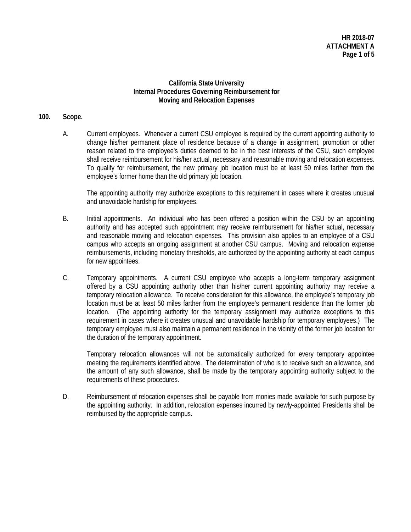# **California State University Internal Procedures Governing Reimbursement for Moving and Relocation Expenses**

## **100. Scope.**

A. Current employees. Whenever a current CSU employee is required by the current appointing authority to change his/her permanent place of residence because of a change in assignment, promotion or other reason related to the employee's duties deemed to be in the best interests of the CSU, such employee shall receive reimbursement for his/her actual, necessary and reasonable moving and relocation expenses. To qualify for reimbursement, the new primary job location must be at least 50 miles farther from the employee's former home than the old primary job location.

The appointing authority may authorize exceptions to this requirement in cases where it creates unusual and unavoidable hardship for employees.

- B. Initial appointments. An individual who has been offered a position within the CSU by an appointing authority and has accepted such appointment may receive reimbursement for his/her actual, necessary and reasonable moving and relocation expenses. This provision also applies to an employee of a CSU campus who accepts an ongoing assignment at another CSU campus. Moving and relocation expense reimbursements, including monetary thresholds, are authorized by the appointing authority at each campus for new appointees.
- C. Temporary appointments. A current CSU employee who accepts a long-term temporary assignment offered by a CSU appointing authority other than his/her current appointing authority may receive a temporary relocation allowance. To receive consideration for this allowance, the employee's temporary job location must be at least 50 miles farther from the employee's permanent residence than the former job location. (The appointing authority for the temporary assignment may authorize exceptions to this requirement in cases where it creates unusual and unavoidable hardship for temporary employees.) The temporary employee must also maintain a permanent residence in the vicinity of the former job location for the duration of the temporary appointment.

Temporary relocation allowances will not be automatically authorized for every temporary appointee meeting the requirements identified above. The determination of who is to receive such an allowance, and the amount of any such allowance, shall be made by the temporary appointing authority subject to the requirements of these procedures.

D. Reimbursement of relocation expenses shall be payable from monies made available for such purpose by the appointing authority. In addition, relocation expenses incurred by newly-appointed Presidents shall be reimbursed by the appropriate campus.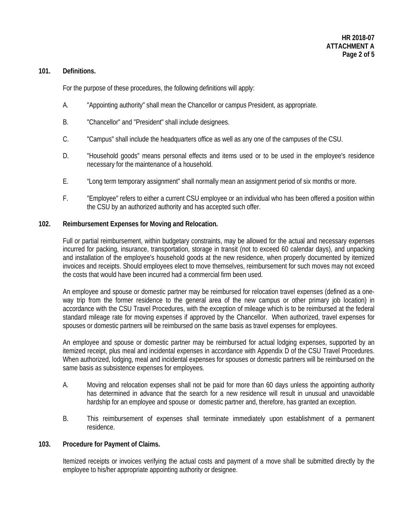## **101. Definitions.**

For the purpose of these procedures, the following definitions will apply:

- A. "Appointing authority" shall mean the Chancellor or campus President, as appropriate.
- B. "Chancellor" and "President" shall include designees.
- C. "Campus" shall include the headquarters office as well as any one of the campuses of the CSU.
- D. "Household goods" means personal effects and items used or to be used in the employee's residence necessary for the maintenance of a household.
- E. "Long term temporary assignment" shall normally mean an assignment period of six months or more.
- F. "Employee" refers to either a current CSU employee or an individual who has been offered a position within the CSU by an authorized authority and has accepted such offer.

## **102. Reimbursement Expenses for Moving and Relocation.**

Full or partial reimbursement, within budgetary constraints, may be allowed for the actual and necessary expenses incurred for packing, insurance, transportation, storage in transit (not to exceed 60 calendar days), and unpacking and installation of the employee's household goods at the new residence, when properly documented by itemized invoices and receipts. Should employees elect to move themselves, reimbursement for such moves may not exceed the costs that would have been incurred had a commercial firm been used.

An employee and spouse or domestic partner may be reimbursed for relocation travel expenses (defined as a oneway trip from the former residence to the general area of the new campus or other primary job location) in accordance with the CSU Travel Procedures, with the exception of mileage which is to be reimbursed at the federal standard mileage rate for moving expenses if approved by the Chancellor. When authorized, travel expenses for spouses or domestic partners will be reimbursed on the same basis as travel expenses for employees.

An employee and spouse or domestic partner may be reimbursed for actual lodging expenses, supported by an itemized receipt, plus meal and incidental expenses in accordance with Appendix D of the CSU Travel Procedures. When authorized, lodging, meal and incidental expenses for spouses or domestic partners will be reimbursed on the same basis as subsistence expenses for employees.

- A. Moving and relocation expenses shall not be paid for more than 60 days unless the appointing authority has determined in advance that the search for a new residence will result in unusual and unavoidable hardship for an employee and spouse or domestic partner and, therefore, has granted an exception.
- B. This reimbursement of expenses shall terminate immediately upon establishment of a permanent residence.

### **103. Procedure for Payment of Claims.**

Itemized receipts or invoices verifying the actual costs and payment of a move shall be submitted directly by the employee to his/her appropriate appointing authority or designee.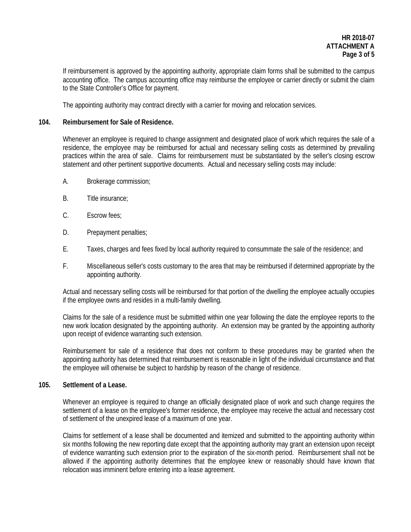If reimbursement is approved by the appointing authority, appropriate claim forms shall be submitted to the campus accounting office. The campus accounting office may reimburse the employee or carrier directly or submit the claim to the State Controller's Office for payment.

The appointing authority may contract directly with a carrier for moving and relocation services.

# **104. Reimbursement for Sale of Residence.**

Whenever an employee is required to change assignment and designated place of work which requires the sale of a residence, the employee may be reimbursed for actual and necessary selling costs as determined by prevailing practices within the area of sale. Claims for reimbursement must be substantiated by the seller's closing escrow statement and other pertinent supportive documents. Actual and necessary selling costs may include:

- A. Brokerage commission;
- B. Title insurance;
- C. Escrow fees;
- D. Prepayment penalties;
- E. Taxes, charges and fees fixed by local authority required to consummate the sale of the residence; and
- F. Miscellaneous seller's costs customary to the area that may be reimbursed if determined appropriate by the appointing authority.

Actual and necessary selling costs will be reimbursed for that portion of the dwelling the employee actually occupies if the employee owns and resides in a multi-family dwelling.

Claims for the sale of a residence must be submitted within one year following the date the employee reports to the new work location designated by the appointing authority. An extension may be granted by the appointing authority upon receipt of evidence warranting such extension.

Reimbursement for sale of a residence that does not conform to these procedures may be granted when the appointing authority has determined that reimbursement is reasonable in light of the individual circumstance and that the employee will otherwise be subject to hardship by reason of the change of residence.

# **105. Settlement of a Lease.**

Whenever an employee is required to change an officially designated place of work and such change requires the settlement of a lease on the employee's former residence, the employee may receive the actual and necessary cost of settlement of the unexpired lease of a maximum of one year.

Claims for settlement of a lease shall be documented and itemized and submitted to the appointing authority within six months following the new reporting date except that the appointing authority may grant an extension upon receipt of evidence warranting such extension prior to the expiration of the six-month period. Reimbursement shall not be allowed if the appointing authority determines that the employee knew or reasonably should have known that relocation was imminent before entering into a lease agreement.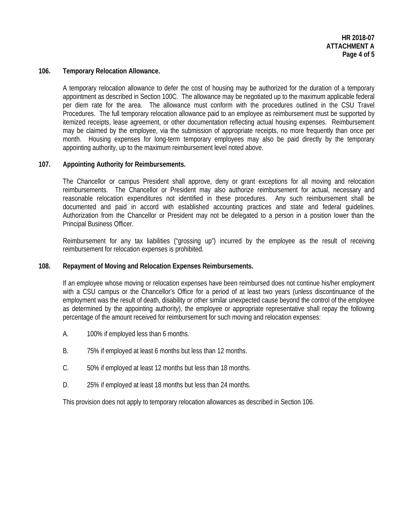### **106. Temporary Relocation Allowance.**

A temporary relocation allowance to defer the cost of housing may be authorized for the duration of a temporary appointment as described in Section 100C. The allowance may be negotiated up to the maximum applicable federal per diem rate for the area. The allowance must conform with the procedures outlined in the CSU Travel Procedures. The full temporary relocation allowance paid to an employee as reimbursement must be supported by itemized receipts, lease agreement, or other documentation reflecting actual housing expenses. Reimbursement may be claimed by the employee, via the submission of appropriate receipts, no more frequently than once per month. Housing expenses for long-term temporary employees may also be paid directly by the temporary appointing authority, up to the maximum reimbursement level noted above.

# **107. Appointing Authority for Reimbursements.**

The Chancellor or campus President shall approve, deny or grant exceptions for all moving and relocation reimbursements. The Chancellor or President may also authorize reimbursement for actual, necessary and reasonable relocation expenditures not identified in these procedures. Any such reimbursement shall be documented and paid in accord with established accounting practices and state and federal guidelines. Authorization from the Chancellor or President may not be delegated to a person in a position lower than the Principal Business Officer.

Reimbursement for any tax liabilities ("grossing up") incurred by the employee as the result of receiving reimbursement for relocation expenses is prohibited.

### **108. Repayment of Moving and Relocation Expenses Reimbursements.**

If an employee whose moving or relocation expenses have been reimbursed does not continue his/her employment with a CSU campus or the Chancellor's Office for a period of at least two years (unless discontinuance of the employment was the result of death, disability or other similar unexpected cause beyond the control of the employee as determined by the appointing authority), the employee or appropriate representative shall repay the following percentage of the amount received for reimbursement for such moving and relocation expenses:

- A. 100% if employed less than 6 months.
- B. 75% if employed at least 6 months but less than 12 months.
- C. 50% if employed at least 12 months but less than 18 months.
- D. 25% if employed at least 18 months but less than 24 months.

This provision does not apply to temporary relocation allowances as described in Section 106.